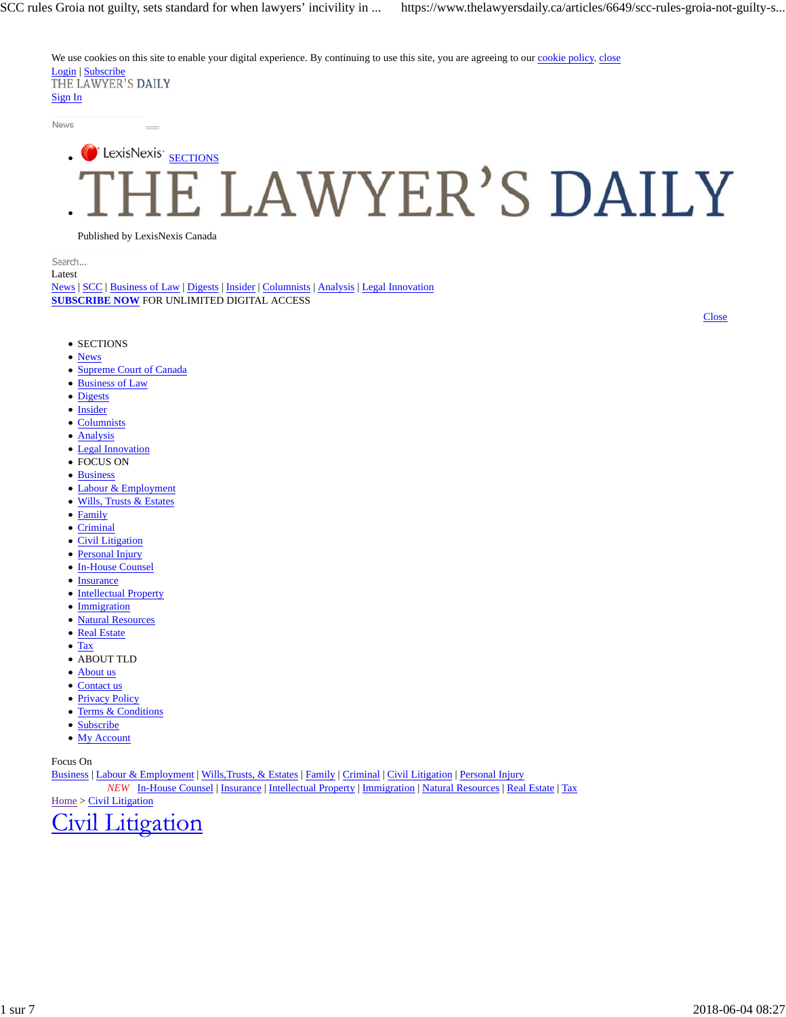

Search... Latest

News | SCC | Business of Law | Digests | Insider | Columnists | Analysis | Legal Innovation **SUBSCRIBE NOW** FOR UNLIMITED DIGITAL ACCESS

**Close** 

- SECTIONS
- News
- Supreme Court of Canada
- Business of Law
- Digests
- Insider
- Columnists
- Analysis
- Legal Innovation
- FOCUS ON
- Business
- Labour & Employment
- Wills, Trusts & Estates
- Family
- Criminal
- Civil Litigation
- Personal Injury
- In-House Counsel
- Insurance
- Intellectual Property
- Immigration
- Natural Resources
- Real Estate
- $\bullet$  Tax
- ABOUT TLD
- About us
- Contact us
- Privacy Policy
- Terms & Conditions
- Subscribe
- My Account

Focus On

Business | Labour & Employment | Wills,Trusts, & Estates | Family | Criminal | Civil Litigation | Personal Injury

*NEW* In-House Counsel | Insurance | Intellectual Property | Immigration | Natural Resources | Real Estate | Tax Home > Civil Litigation

**Civil Litigation**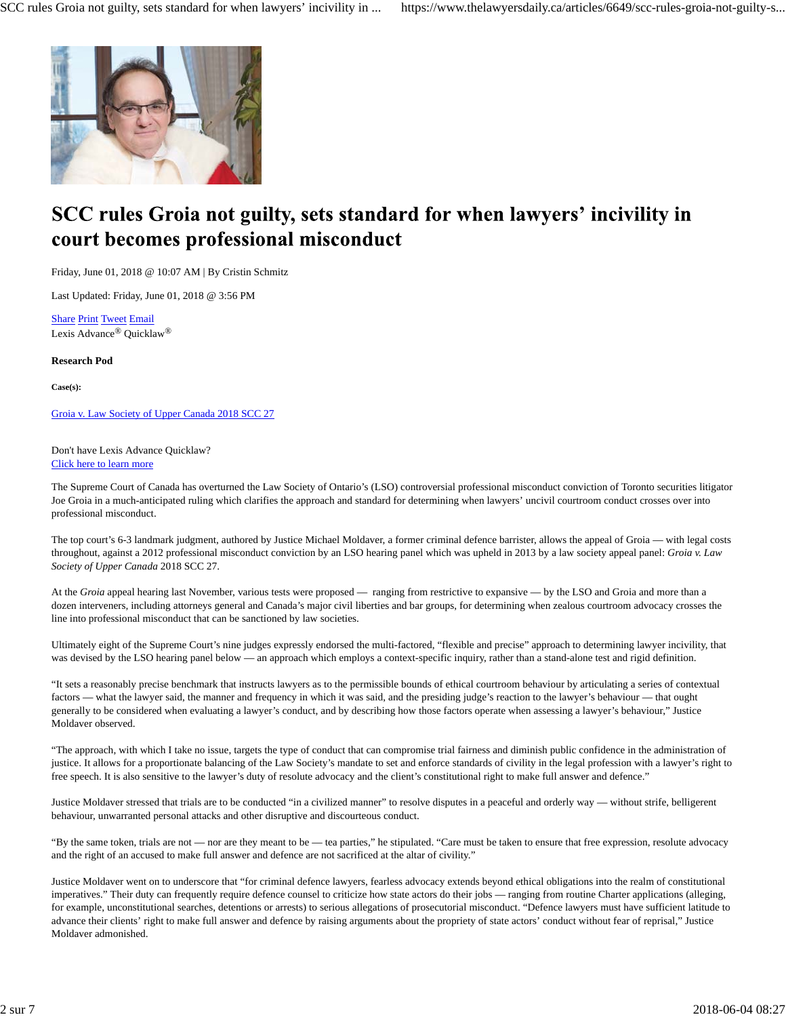

# SCC rules Groia not guilty, sets standard for when lawyers' incivility in court becomes professional misconduct

Friday, June 01, 2018 @ 10:07 AM | By Cristin Schmitz

Last Updated: Friday, June 01, 2018 @ 3:56 PM

Share Print Tweet Email Lexis Advance® Quicklaw®

**Research Pod**

**Case(s):**

Groia v. Law Society of Upper Canada 2018 SCC 27

Don't have Lexis Advance Quicklaw? Click here to learn more

The Supreme Court of Canada has overturned the Law Society of Ontario's (LSO) controversial professional misconduct conviction of Toronto securities litigator Joe Groia in a much-anticipated ruling which clarifies the approach and standard for determining when lawyers' uncivil courtroom conduct crosses over into professional misconduct.

The top court's 6-3 landmark judgment, authored by Justice Michael Moldaver, a former criminal defence barrister, allows the appeal of Groia — with legal costs throughout, against a 2012 professional misconduct conviction by an LSO hearing panel which was upheld in 2013 by a law society appeal panel: *Groia v. Law Society of Upper Canada* 2018 SCC 27.

At the *Groia* appeal hearing last November, various tests were proposed — ranging from restrictive to expansive — by the LSO and Groia and more than a dozen interveners, including attorneys general and Canada's major civil liberties and bar groups, for determining when zealous courtroom advocacy crosses the line into professional misconduct that can be sanctioned by law societies.

Ultimately eight of the Supreme Court's nine judges expressly endorsed the multi-factored, "flexible and precise" approach to determining lawyer incivility, that was devised by the LSO hearing panel below — an approach which employs a context-specific inquiry, rather than a stand-alone test and rigid definition.

"It sets a reasonably precise benchmark that instructs lawyers as to the permissible bounds of ethical courtroom behaviour by articulating a series of contextual factors — what the lawyer said, the manner and frequency in which it was said, and the presiding judge's reaction to the lawyer's behaviour — that ought generally to be considered when evaluating a lawyer's conduct, and by describing how those factors operate when assessing a lawyer's behaviour," Justice Moldaver observed.

"The approach, with which I take no issue, targets the type of conduct that can compromise trial fairness and diminish public confidence in the administration of justice. It allows for a proportionate balancing of the Law Society's mandate to set and enforce standards of civility in the legal profession with a lawyer's right to free speech. It is also sensitive to the lawyer's duty of resolute advocacy and the client's constitutional right to make full answer and defence."

Justice Moldaver stressed that trials are to be conducted "in a civilized manner" to resolve disputes in a peaceful and orderly way — without strife, belligerent behaviour, unwarranted personal attacks and other disruptive and discourteous conduct.

"By the same token, trials are not — nor are they meant to be — tea parties," he stipulated. "Care must be taken to ensure that free expression, resolute advocacy and the right of an accused to make full answer and defence are not sacrificed at the altar of civility."

Justice Moldaver went on to underscore that "for criminal defence lawyers, fearless advocacy extends beyond ethical obligations into the realm of constitutional imperatives." Their duty can frequently require defence counsel to criticize how state actors do their jobs — ranging from routine Charter applications (alleging, for example, unconstitutional searches, detentions or arrests) to serious allegations of prosecutorial misconduct. "Defence lawyers must have sufficient latitude to advance their clients' right to make full answer and defence by raising arguments about the propriety of state actors' conduct without fear of reprisal," Justice Moldaver admonished.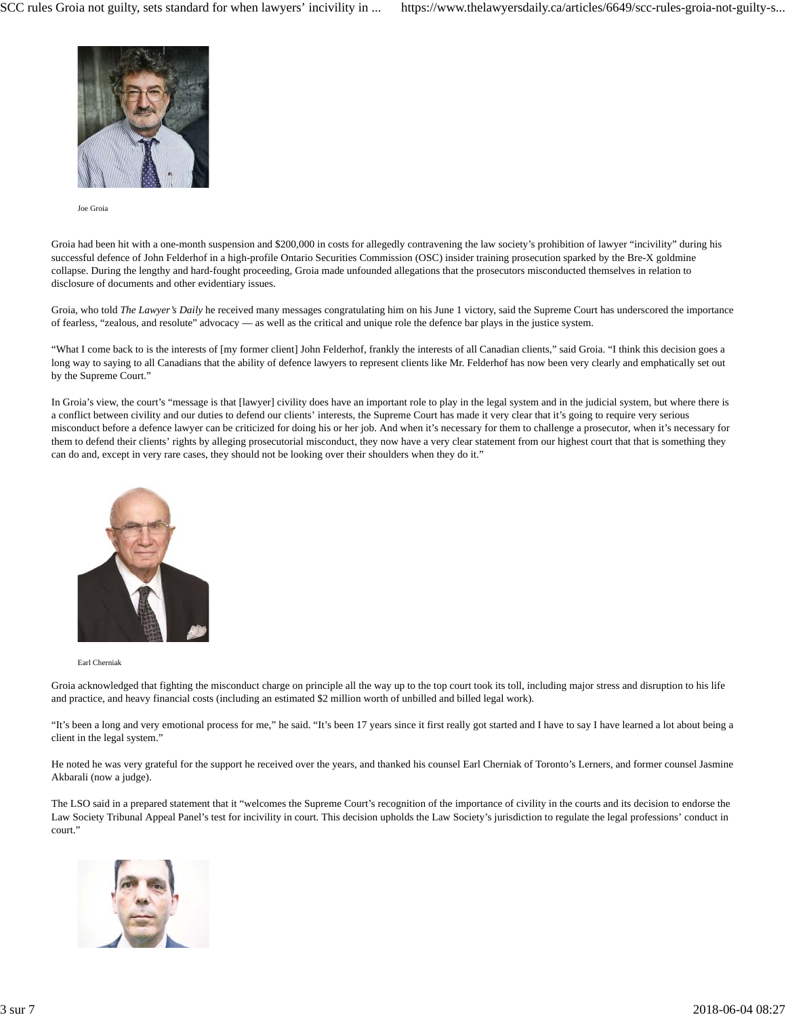

Joe Groia

Groia had been hit with a one-month suspension and \$200,000 in costs for allegedly contravening the law society's prohibition of lawyer "incivility" during his successful defence of John Felderhof in a high-profile Ontario Securities Commission (OSC) insider training prosecution sparked by the Bre-X goldmine collapse. During the lengthy and hard-fought proceeding, Groia made unfounded allegations that the prosecutors misconducted themselves in relation to disclosure of documents and other evidentiary issues.

Groia, who told *The Lawyer's Daily* he received many messages congratulating him on his June 1 victory, said the Supreme Court has underscored the importance of fearless, "zealous, and resolute" advocacy — as well as the critical and unique role the defence bar plays in the justice system.

"What I come back to is the interests of [my former client] John Felderhof, frankly the interests of all Canadian clients," said Groia. "I think this decision goes a long way to saying to all Canadians that the ability of defence lawyers to represent clients like Mr. Felderhof has now been very clearly and emphatically set out by the Supreme Court."

In Groia's view, the court's "message is that [lawyer] civility does have an important role to play in the legal system and in the judicial system, but where there is a conflict between civility and our duties to defend our clients' interests, the Supreme Court has made it very clear that it's going to require very serious misconduct before a defence lawyer can be criticized for doing his or her job. And when it's necessary for them to challenge a prosecutor, when it's necessary for them to defend their clients' rights by alleging prosecutorial misconduct, they now have a very clear statement from our highest court that that is something they can do and, except in very rare cases, they should not be looking over their shoulders when they do it."



#### Earl Cherniak

Groia acknowledged that fighting the misconduct charge on principle all the way up to the top court took its toll, including major stress and disruption to his life and practice, and heavy financial costs (including an estimated \$2 million worth of unbilled and billed legal work).

"It's been a long and very emotional process for me," he said. "It's been 17 years since it first really got started and I have to say I have learned a lot about being a client in the legal system."

He noted he was very grateful for the support he received over the years, and thanked his counsel Earl Cherniak of Toronto's Lerners, and former counsel Jasmine Akbarali (now a judge).

The LSO said in a prepared statement that it "welcomes the Supreme Court's recognition of the importance of civility in the courts and its decision to endorse the Law Society Tribunal Appeal Panel's test for incivility in court. This decision upholds the Law Society's jurisdiction to regulate the legal professions' conduct in court."

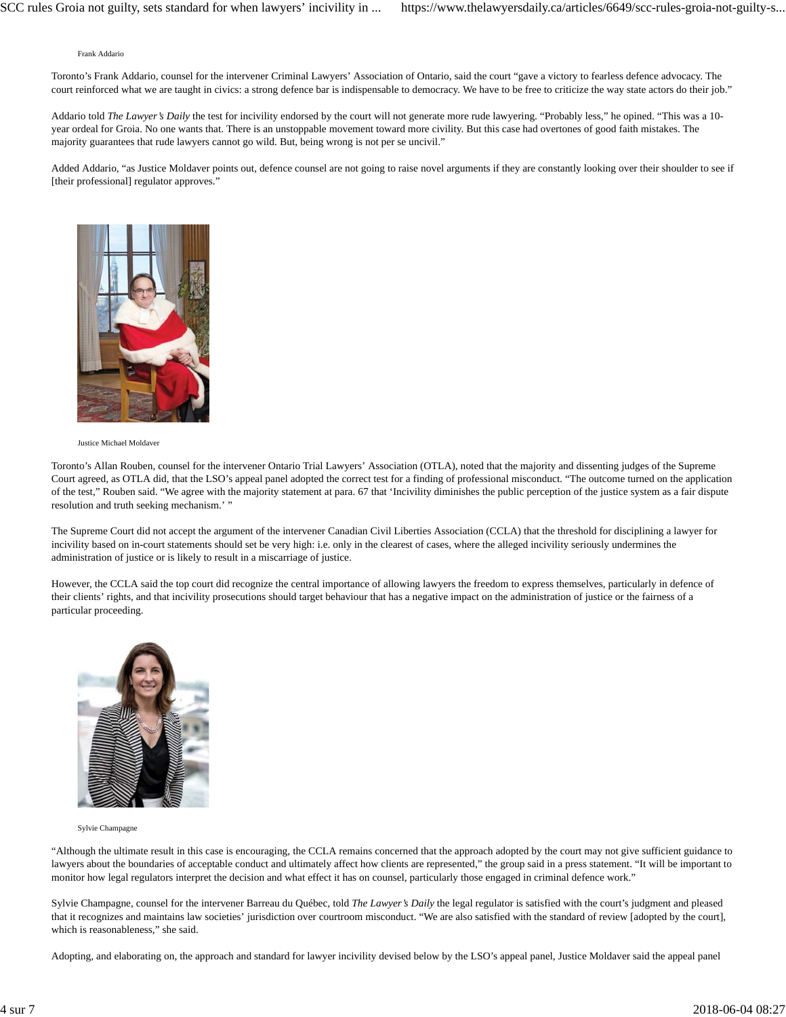Frank Addario

Toronto's Frank Addario, counsel for the intervener Criminal Lawyers' Association of Ontario, said the court "gave a victory to fearless defence advocacy. The court reinforced what we are taught in civics: a strong defence bar is indispensable to democracy. We have to be free to criticize the way state actors do their job."

Addario told *The Lawyer's Daily* the test for incivility endorsed by the court will not generate more rude lawyering. "Probably less," he opined. "This was a 10 year ordeal for Groia. No one wants that. There is an unstoppable movement toward more civility. But this case had overtones of good faith mistakes. The majority guarantees that rude lawyers cannot go wild. But, being wrong is not per se uncivil."

Added Addario, "as Justice Moldaver points out, defence counsel are not going to raise novel arguments if they are constantly looking over their shoulder to see if [their professional] regulator approves."



Justice Michael Moldaver

Toronto's Allan Rouben, counsel for the intervener Ontario Trial Lawyers' Association (OTLA), noted that the majority and dissenting judges of the Supreme Court agreed, as OTLA did, that the LSO's appeal panel adopted the correct test for a finding of professional misconduct. "The outcome turned on the application of the test," Rouben said. "We agree with the majority statement at para. 67 that 'Incivility diminishes the public perception of the justice system as a fair dispute resolution and truth seeking mechanism.' "

The Supreme Court did not accept the argument of the intervener Canadian Civil Liberties Association (CCLA) that the threshold for disciplining a lawyer for incivility based on in-court statements should set be very high: i.e. only in the clearest of cases, where the alleged incivility seriously undermines the administration of justice or is likely to result in a miscarriage of justice.

However, the CCLA said the top court did recognize the central importance of allowing lawyers the freedom to express themselves, particularly in defence of their clients' rights, and that incivility prosecutions should target behaviour that has a negative impact on the administration of justice or the fairness of a particular proceeding.



Sylvie Champagne

"Although the ultimate result in this case is encouraging, the CCLA remains concerned that the approach adopted by the court may not give sufficient guidance to lawyers about the boundaries of acceptable conduct and ultimately affect how clients are represented," the group said in a press statement. "It will be important to monitor how legal regulators interpret the decision and what effect it has on counsel, particularly those engaged in criminal defence work."

Sylvie Champagne, counsel for the intervener Barreau du Québec, told *The Lawyer's Daily* the legal regulator is satisfied with the court's judgment and pleased that it recognizes and maintains law societies' jurisdiction over courtroom misconduct. "We are also satisfied with the standard of review [adopted by the court], which is reasonableness," she said.

Adopting, and elaborating on, the approach and standard for lawyer incivility devised below by the LSO's appeal panel, Justice Moldaver said the appeal panel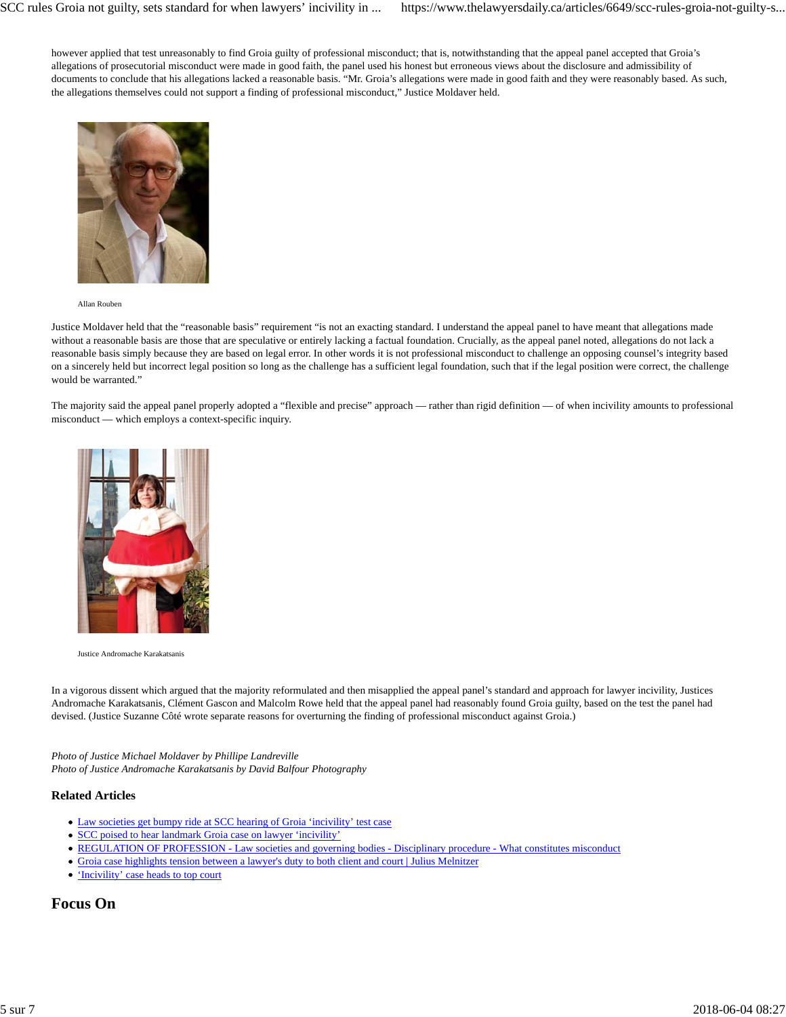however applied that test unreasonably to find Groia guilty of professional misconduct; that is, notwithstanding that the appeal panel accepted that Groia's allegations of prosecutorial misconduct were made in good faith, the panel used his honest but erroneous views about the disclosure and admissibility of documents to conclude that his allegations lacked a reasonable basis. "Mr. Groia's allegations were made in good faith and they were reasonably based. As such, the allegations themselves could not support a finding of professional misconduct," Justice Moldaver held.



Allan Rouben

Justice Moldaver held that the "reasonable basis" requirement "is not an exacting standard. I understand the appeal panel to have meant that allegations made without a reasonable basis are those that are speculative or entirely lacking a factual foundation. Crucially, as the appeal panel noted, allegations do not lack a reasonable basis simply because they are based on legal error. In other words it is not professional misconduct to challenge an opposing counsel's integrity based on a sincerely held but incorrect legal position so long as the challenge has a sufficient legal foundation, such that if the legal position were correct, the challenge would be warranted."

The majority said the appeal panel properly adopted a "flexible and precise" approach — rather than rigid definition — of when incivility amounts to professional misconduct — which employs a context-specific inquiry.



Justice Andromache Karakatsanis

In a vigorous dissent which argued that the majority reformulated and then misapplied the appeal panel's standard and approach for lawyer incivility, Justices Andromache Karakatsanis, Clément Gascon and Malcolm Rowe held that the appeal panel had reasonably found Groia guilty, based on the test the panel had devised. (Justice Suzanne Côté wrote separate reasons for overturning the finding of professional misconduct against Groia.)

*Photo of Justice Michael Moldaver by Phillipe Landreville Photo of Justice Andromache Karakatsanis by David Balfour Photography*

#### **Related Articles**

- Law societies get bumpy ride at SCC hearing of Groia 'incivility' test case
- SCC poised to hear landmark Groia case on lawyer 'incivility'
- REGULATION OF PROFESSION Law societies and governing bodies Disciplinary procedure What constitutes misconduct
- Groia case highlights tension between a lawyer's duty to both client and court | Julius Melnitzer
- 'Incivility' case heads to top court

## **Focus On**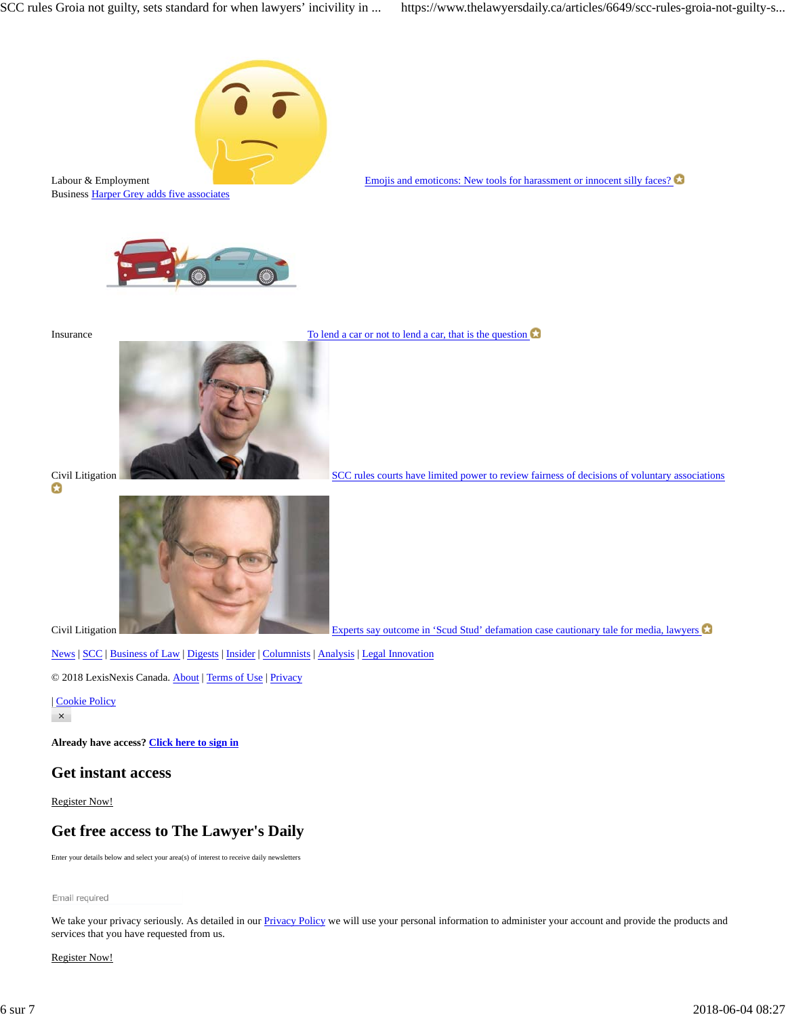

Business Harper Grey adds five associates





G



Civil Litigation SCC rules courts have limited power to review fairness of decisions of voluntary associations

Civil Litigation Experts say outcome in 'Scud Stud' defamation case cautionary tale for media, lawyers

News | SCC | Business of Law | Digests | Insider | Columnists | Analysis | Legal Innovation

© 2018 LexisNexis Canada. About | Terms of Use | Privacy

| Cookie Policy  $\mathsf{x}$ 

**Already have access? Click here to sign in**

## **Get instant access**

Register Now!

## **Get free access to The Lawyer's Daily**

Enter your details below and select your area(s) of interest to receive daily newsletters

Email required

We take your privacy seriously. As detailed in our Privacy Policy we will use your personal information to administer your account and provide the products and services that you have requested from us.

Register Now!